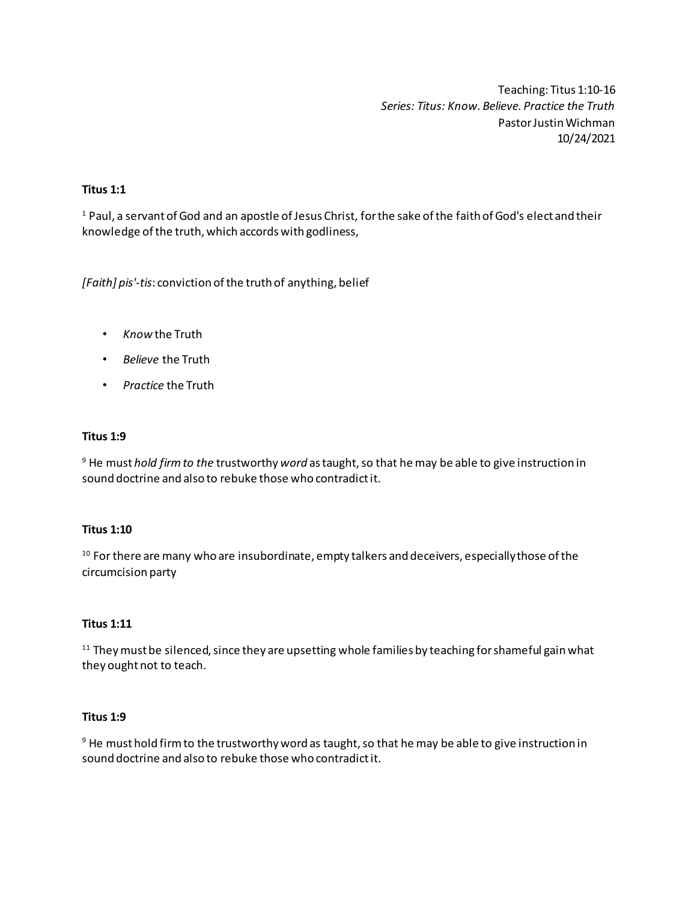Teaching: Titus 1:10-16 *Series: Titus: Know. Believe. Practice the Truth* Pastor Justin Wichman 10/24/2021

# **Titus 1:1**

<sup>1</sup> Paul, a servant of God and an apostle of Jesus Christ, for the sake of the faith of God's elect and their knowledge of the truth, which accords with godliness,

*[Faith] pis'-tis*: conviction of the truth of anything, belief

- *Know* the Truth
- *Believe* the Truth
- *Practice* the Truth

#### **Titus 1:9**

<sup>9</sup> He must *hold firm to the* trustworthy *word* as taught, so that he may be able to give instruction in sound doctrine and also to rebuke those who contradict it.

#### **Titus 1:10**

<sup>10</sup> For there are many who are insubordinate, empty talkers and deceivers, especially those of the circumcision party

#### **Titus 1:11**

 $11$  They must be silenced, since they are upsetting whole families by teaching for shameful gain what they ought not to teach.

## **Titus 1:9**

 $9$  He must hold firm to the trustworthy word as taught, so that he may be able to give instruction in sound doctrine and also to rebuke those who contradict it.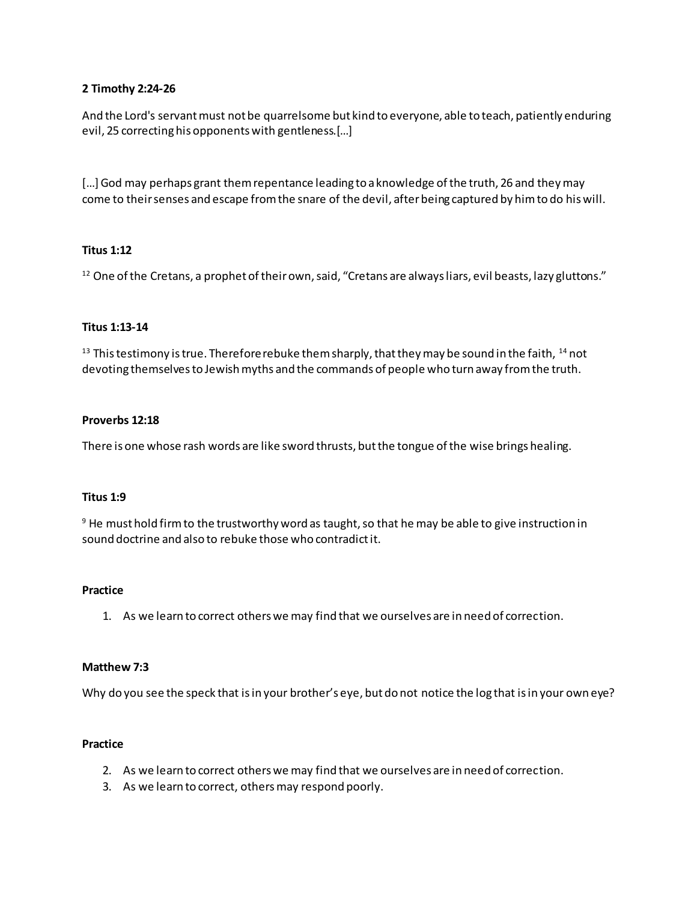## **2 Timothy 2:24-26**

And the Lord's servant must not be quarrelsome but kind to everyone, able to teach, patiently enduring evil, 25 correcting his opponents with gentleness.[…]

[...] God may perhaps grant them repentance leading to a knowledge of the truth, 26 and they may come to their senses and escape from the snare of the devil, after being captured by him to do his will.

# **Titus 1:12**

<sup>12</sup> One of the Cretans, a prophet of their own, said, "Cretans are always liars, evil beasts, lazy gluttons."

## **Titus 1:13-14**

 $13$  This testimony is true. Therefore rebuke them sharply, that they may be sound in the faith,  $14$  not devoting themselves to Jewish myths and the commands of people who turn away from the truth.

## **Proverbs 12:18**

There is one whose rash words are like sword thrusts, but the tongue of the wise brings healing.

## **Titus 1:9**

 $9$  He must hold firm to the trustworthy word as taught, so that he may be able to give instruction in sound doctrine and also to rebuke those who contradict it.

#### **Practice**

1. As we learn to correct others we may find that we ourselves are in need of correction.

## **Matthew 7:3**

Why do you see the speck that is in your brother's eye, but do not notice the log that is in your own eye?

#### **Practice**

- 2. As we learn to correct others we may find that we ourselves are in need of correction.
- 3. As we learn to correct, others may respond poorly.